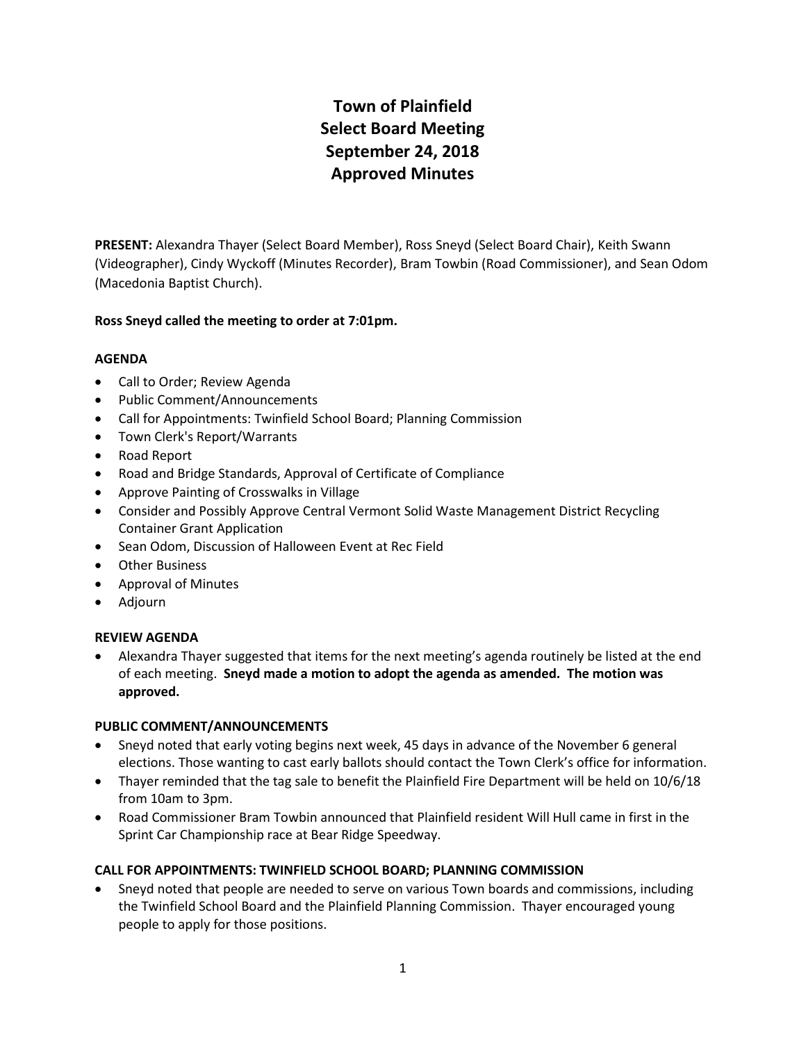# **Town of Plainfield Select Board Meeting September 24, 2018 Approved Minutes**

**PRESENT:** Alexandra Thayer (Select Board Member), Ross Sneyd (Select Board Chair), Keith Swann (Videographer), Cindy Wyckoff (Minutes Recorder), Bram Towbin (Road Commissioner), and Sean Odom (Macedonia Baptist Church).

# **Ross Sneyd called the meeting to order at 7:01pm.**

## **AGENDA**

- Call to Order; Review Agenda
- Public Comment/Announcements
- Call for Appointments: Twinfield School Board; Planning Commission
- Town Clerk's Report/Warrants
- Road Report
- Road and Bridge Standards, Approval of Certificate of Compliance
- Approve Painting of Crosswalks in Village
- Consider and Possibly Approve Central Vermont Solid Waste Management District Recycling Container Grant Application
- Sean Odom, Discussion of Halloween Event at Rec Field
- Other Business
- Approval of Minutes
- Adjourn

# **REVIEW AGENDA**

 Alexandra Thayer suggested that items for the next meeting's agenda routinely be listed at the end of each meeting. **Sneyd made a motion to adopt the agenda as amended. The motion was approved.**

# **PUBLIC COMMENT/ANNOUNCEMENTS**

- Sneyd noted that early voting begins next week, 45 days in advance of the November 6 general elections. Those wanting to cast early ballots should contact the Town Clerk's office for information.
- Thayer reminded that the tag sale to benefit the Plainfield Fire Department will be held on 10/6/18 from 10am to 3pm.
- Road Commissioner Bram Towbin announced that Plainfield resident Will Hull came in first in the Sprint Car Championship race at Bear Ridge Speedway.

# **CALL FOR APPOINTMENTS: TWINFIELD SCHOOL BOARD; PLANNING COMMISSION**

 Sneyd noted that people are needed to serve on various Town boards and commissions, including the Twinfield School Board and the Plainfield Planning Commission. Thayer encouraged young people to apply for those positions.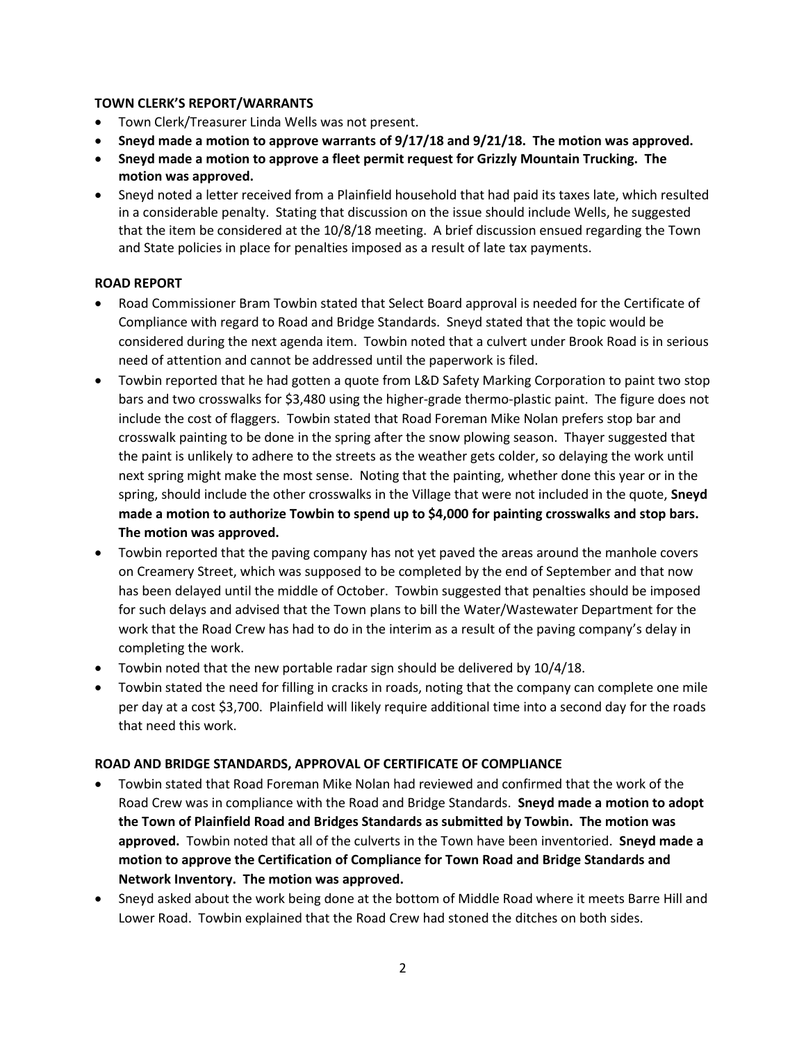## **TOWN CLERK'S REPORT/WARRANTS**

- Town Clerk/Treasurer Linda Wells was not present.
- **Sneyd made a motion to approve warrants of 9/17/18 and 9/21/18. The motion was approved.**
- **Sneyd made a motion to approve a fleet permit request for Grizzly Mountain Trucking. The motion was approved.**
- Sneyd noted a letter received from a Plainfield household that had paid its taxes late, which resulted in a considerable penalty. Stating that discussion on the issue should include Wells, he suggested that the item be considered at the 10/8/18 meeting. A brief discussion ensued regarding the Town and State policies in place for penalties imposed as a result of late tax payments.

## **ROAD REPORT**

- Road Commissioner Bram Towbin stated that Select Board approval is needed for the Certificate of Compliance with regard to Road and Bridge Standards. Sneyd stated that the topic would be considered during the next agenda item. Towbin noted that a culvert under Brook Road is in serious need of attention and cannot be addressed until the paperwork is filed.
- Towbin reported that he had gotten a quote from L&D Safety Marking Corporation to paint two stop bars and two crosswalks for \$3,480 using the higher-grade thermo-plastic paint. The figure does not include the cost of flaggers. Towbin stated that Road Foreman Mike Nolan prefers stop bar and crosswalk painting to be done in the spring after the snow plowing season. Thayer suggested that the paint is unlikely to adhere to the streets as the weather gets colder, so delaying the work until next spring might make the most sense. Noting that the painting, whether done this year or in the spring, should include the other crosswalks in the Village that were not included in the quote, **Sneyd made a motion to authorize Towbin to spend up to \$4,000 for painting crosswalks and stop bars. The motion was approved.**
- Towbin reported that the paving company has not yet paved the areas around the manhole covers on Creamery Street, which was supposed to be completed by the end of September and that now has been delayed until the middle of October. Towbin suggested that penalties should be imposed for such delays and advised that the Town plans to bill the Water/Wastewater Department for the work that the Road Crew has had to do in the interim as a result of the paving company's delay in completing the work.
- Towbin noted that the new portable radar sign should be delivered by 10/4/18.
- Towbin stated the need for filling in cracks in roads, noting that the company can complete one mile per day at a cost \$3,700. Plainfield will likely require additional time into a second day for the roads that need this work.

## **ROAD AND BRIDGE STANDARDS, APPROVAL OF CERTIFICATE OF COMPLIANCE**

- Towbin stated that Road Foreman Mike Nolan had reviewed and confirmed that the work of the Road Crew was in compliance with the Road and Bridge Standards. **Sneyd made a motion to adopt the Town of Plainfield Road and Bridges Standards as submitted by Towbin. The motion was approved.** Towbin noted that all of the culverts in the Town have been inventoried. **Sneyd made a motion to approve the Certification of Compliance for Town Road and Bridge Standards and Network Inventory. The motion was approved.**
- Sneyd asked about the work being done at the bottom of Middle Road where it meets Barre Hill and Lower Road. Towbin explained that the Road Crew had stoned the ditches on both sides.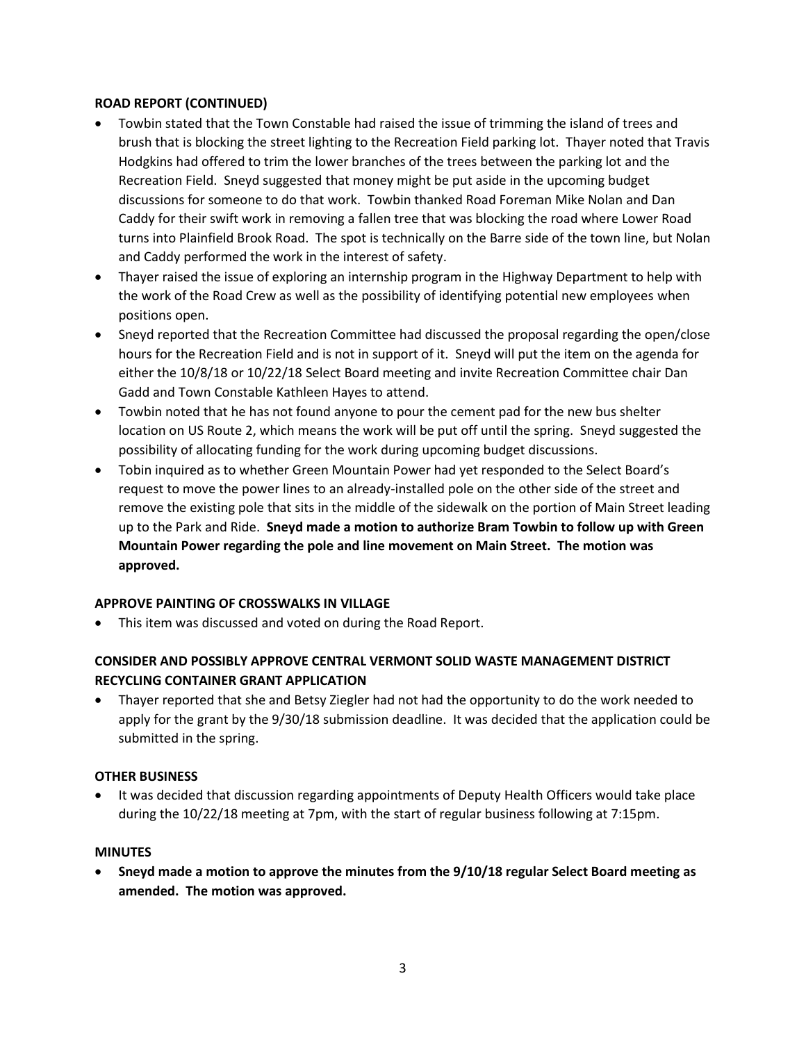## **ROAD REPORT (CONTINUED)**

- Towbin stated that the Town Constable had raised the issue of trimming the island of trees and brush that is blocking the street lighting to the Recreation Field parking lot. Thayer noted that Travis Hodgkins had offered to trim the lower branches of the trees between the parking lot and the Recreation Field. Sneyd suggested that money might be put aside in the upcoming budget discussions for someone to do that work. Towbin thanked Road Foreman Mike Nolan and Dan Caddy for their swift work in removing a fallen tree that was blocking the road where Lower Road turns into Plainfield Brook Road. The spot is technically on the Barre side of the town line, but Nolan and Caddy performed the work in the interest of safety.
- Thayer raised the issue of exploring an internship program in the Highway Department to help with the work of the Road Crew as well as the possibility of identifying potential new employees when positions open.
- Sneyd reported that the Recreation Committee had discussed the proposal regarding the open/close hours for the Recreation Field and is not in support of it. Sneyd will put the item on the agenda for either the 10/8/18 or 10/22/18 Select Board meeting and invite Recreation Committee chair Dan Gadd and Town Constable Kathleen Hayes to attend.
- Towbin noted that he has not found anyone to pour the cement pad for the new bus shelter location on US Route 2, which means the work will be put off until the spring. Sneyd suggested the possibility of allocating funding for the work during upcoming budget discussions.
- Tobin inquired as to whether Green Mountain Power had yet responded to the Select Board's request to move the power lines to an already-installed pole on the other side of the street and remove the existing pole that sits in the middle of the sidewalk on the portion of Main Street leading up to the Park and Ride. **Sneyd made a motion to authorize Bram Towbin to follow up with Green Mountain Power regarding the pole and line movement on Main Street. The motion was approved.**

# **APPROVE PAINTING OF CROSSWALKS IN VILLAGE**

This item was discussed and voted on during the Road Report.

# **CONSIDER AND POSSIBLY APPROVE CENTRAL VERMONT SOLID WASTE MANAGEMENT DISTRICT RECYCLING CONTAINER GRANT APPLICATION**

 Thayer reported that she and Betsy Ziegler had not had the opportunity to do the work needed to apply for the grant by the 9/30/18 submission deadline. It was decided that the application could be submitted in the spring.

## **OTHER BUSINESS**

 It was decided that discussion regarding appointments of Deputy Health Officers would take place during the 10/22/18 meeting at 7pm, with the start of regular business following at 7:15pm.

## **MINUTES**

 **Sneyd made a motion to approve the minutes from the 9/10/18 regular Select Board meeting as amended. The motion was approved.**